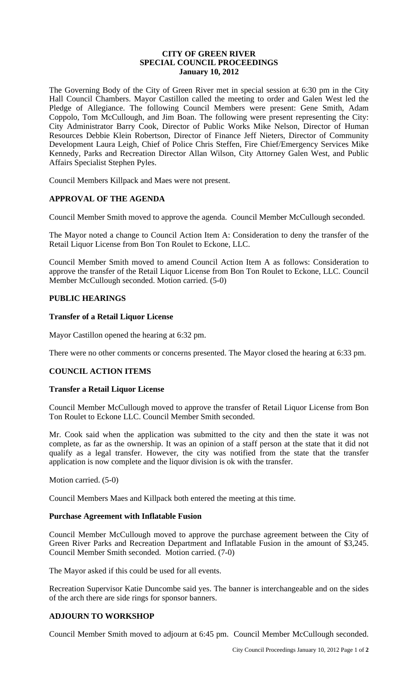### **CITY OF GREEN RIVER SPECIAL COUNCIL PROCEEDINGS January 10, 2012**

The Governing Body of the City of Green River met in special session at 6:30 pm in the City Hall Council Chambers. Mayor Castillon called the meeting to order and Galen West led the Pledge of Allegiance. The following Council Members were present: Gene Smith, Adam Coppolo, Tom McCullough, and Jim Boan. The following were present representing the City: City Administrator Barry Cook, Director of Public Works Mike Nelson, Director of Human Resources Debbie Klein Robertson, Director of Finance Jeff Nieters, Director of Community Development Laura Leigh, Chief of Police Chris Steffen, Fire Chief/Emergency Services Mike Kennedy, Parks and Recreation Director Allan Wilson, City Attorney Galen West, and Public Affairs Specialist Stephen Pyles.

Council Members Killpack and Maes were not present.

# **APPROVAL OF THE AGENDA**

Council Member Smith moved to approve the agenda. Council Member McCullough seconded.

The Mayor noted a change to Council Action Item A: Consideration to deny the transfer of the Retail Liquor License from Bon Ton Roulet to Eckone, LLC.

Council Member Smith moved to amend Council Action Item A as follows: Consideration to approve the transfer of the Retail Liquor License from Bon Ton Roulet to Eckone, LLC. Council Member McCullough seconded. Motion carried. (5-0)

# **PUBLIC HEARINGS**

### **Transfer of a Retail Liquor License**

Mayor Castillon opened the hearing at 6:32 pm.

There were no other comments or concerns presented. The Mayor closed the hearing at 6:33 pm.

#### **COUNCIL ACTION ITEMS**

#### **Transfer a Retail Liquor License**

Council Member McCullough moved to approve the transfer of Retail Liquor License from Bon Ton Roulet to Eckone LLC. Council Member Smith seconded.

Mr. Cook said when the application was submitted to the city and then the state it was not complete, as far as the ownership. It was an opinion of a staff person at the state that it did not qualify as a legal transfer. However, the city was notified from the state that the transfer application is now complete and the liquor division is ok with the transfer.

Motion carried. (5-0)

Council Members Maes and Killpack both entered the meeting at this time.

#### **Purchase Agreement with Inflatable Fusion**

Council Member McCullough moved to approve the purchase agreement between the City of Green River Parks and Recreation Department and Inflatable Fusion in the amount of \$3,245. Council Member Smith seconded. Motion carried. (7-0)

The Mayor asked if this could be used for all events.

Recreation Supervisor Katie Duncombe said yes. The banner is interchangeable and on the sides of the arch there are side rings for sponsor banners.

# **ADJOURN TO WORKSHOP**

Council Member Smith moved to adjourn at 6:45 pm. Council Member McCullough seconded.